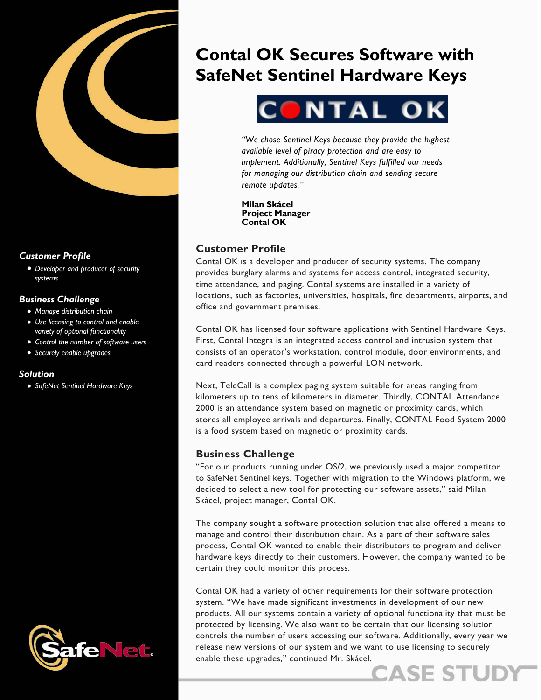

## *Customer Profile*

• *Developer and producer of security systems*

## *Business Challenge*

- *Manage distribution chain*
- *Use licensing to control and enable variety of optional functionality*
- *Control the number of software users*
- *Securely enable upgrades*

#### *Solution*

• *SafeNet Sentinel Hardware Keys*



# **Contal OK Secures Software with SafeNet Sentinel Hardware Keys**



*"We chose Sentinel Keys because they provide the highest available level of piracy protection and are easy to implement. Additionally, Sentinel Keys fulfilled our needs for managing our distribution chain and sending secure remote updates."* 

**Milan Skácel Project Manager Contal OK** 

# **Customer Profile**

Contal OK is a developer and producer of security systems. The company provides burglary alarms and systems for access control, integrated security, time attendance, and paging. Contal systems are installed in a variety of locations, such as factories, universities, hospitals, fire departments, airports, and office and government premises.

Contal OK has licensed four software applications with Sentinel Hardware Keys. First, Contal Integra is an integrated access control and intrusion system that consists of an operator's workstation, control module, door environments, and card readers connected through a powerful LON network.

Next, TeleCall is a complex paging system suitable for areas ranging from kilometers up to tens of kilometers in diameter. Thirdly, CONTAL Attendance 2000 is an attendance system based on magnetic or proximity cards, which stores all employee arrivals and departures. Finally, CONTAL Food System 2000 is a food system based on magnetic or proximity cards.

## **Business Challenge**

"For our products running under OS/2, we previously used a major competitor to SafeNet Sentinel keys. Together with migration to the Windows platform, we decided to select a new tool for protecting our software assets," said Milan Skácel, project manager, Contal OK.

The company sought a software protection solution that also offered a means to manage and control their distribution chain. As a part of their software sales process, Contal OK wanted to enable their distributors to program and deliver hardware keys directly to their customers. However, the company wanted to be certain they could monitor this process.

Contal OK had a variety of other requirements for their software protection system. "We have made significant investments in development of our new products. All our systems contain a variety of optional functionality that must be protected by licensing. We also want to be certain that our licensing solution controls the number of users accessing our software. Additionally, every year we release new versions of our system and we want to use licensing to securely enable these upgrades," continued Mr. Skácel.

**CASE ST**